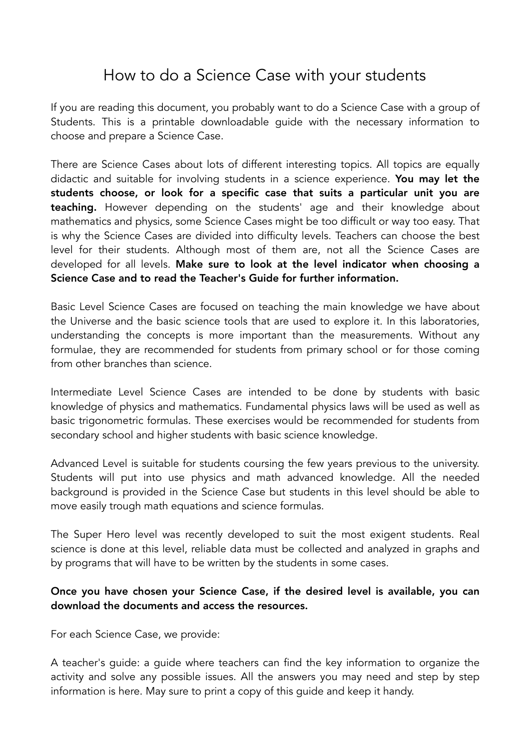## How to do a Science Case with your students

If you are reading this document, you probably want to do a Science Case with a group of Students. This is a printable downloadable guide with the necessary information to choose and prepare a Science Case.

There are Science Cases about lots of different interesting topics. All topics are equally didactic and suitable for involving students in a science experience. You may let the students choose, or look for a specific case that suits a particular unit you are teaching. However depending on the students' age and their knowledge about mathematics and physics, some Science Cases might be too difficult or way too easy. That is why the Science Cases are divided into difficulty levels. Teachers can choose the best level for their students. Although most of them are, not all the Science Cases are developed for all levels. Make sure to look at the level indicator when choosing a Science Case and to read the Teacher's Guide for further information.

Basic Level Science Cases are focused on teaching the main knowledge we have about the Universe and the basic science tools that are used to explore it. In this laboratories, understanding the concepts is more important than the measurements. Without any formulae, they are recommended for students from primary school or for those coming from other branches than science.

Intermediate Level Science Cases are intended to be done by students with basic knowledge of physics and mathematics. Fundamental physics laws will be used as well as basic trigonometric formulas. These exercises would be recommended for students from secondary school and higher students with basic science knowledge.

Advanced Level is suitable for students coursing the few years previous to the university. Students will put into use physics and math advanced knowledge. All the needed background is provided in the Science Case but students in this level should be able to move easily trough math equations and science formulas.

The Super Hero level was recently developed to suit the most exigent students. Real science is done at this level, reliable data must be collected and analyzed in graphs and by programs that will have to be written by the students in some cases.

## Once you have chosen your Science Case, if the desired level is available, you can download the documents and access the resources.

For each Science Case, we provide:

A teacher's guide: a guide where teachers can find the key information to organize the activity and solve any possible issues. All the answers you may need and step by step information is here. May sure to print a copy of this guide and keep it handy.